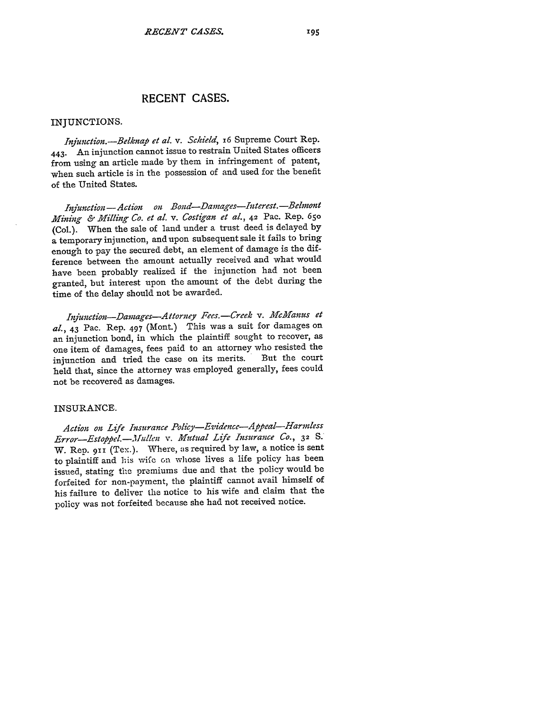# **RECENT CASES.**

#### INJUNCTIONS.

*Injunction.-Belknap et al. v. Schield,* i6 Supreme Court Rep. 443. An injunction cannot issue to restrain United States officers from using an article made by them in infringement of patent, when such article is in the possession of and used for the benefit of the United States.

*Injunction - Action on Bond-Damages-Interest. -Belmont Mining & Milling Co. et al. v. Costigan et al.,* **42** Pac. Rep. **<sup>650</sup>** (Col.). When the sale of land under a trust deed is delayed by a temporary injunction, and upon subsequent sale it fails to bring enough to pay the secured debt, an element of damage is the difference between the amount actually received and what would have been probably realized if the injunction had not been granted, but interest upon the amount of the debt during the time of the delay should not be awarded.

*ZIfunction-Damages-Attorney Fees.-Creek v. MAfcManus et aL,* 43 Pac. Rep. 497 (Mont.) This was a suit for damages on an injunction bond, in which the plaintiff sought to recover, as one item of damages, fees paid to an attorney who resisted the<br>iniunction and tried the case on its merits. But the court injunction and tried the case on its merits. held that, since the attorney was employed generally, fees could not be recovered as damages.

### INSURANCE.

*Action on Life Insurance Policy-Evidence-Appeal-Harmless Error-Estop. pel.-Jillen v. Mutual Life Insurance Co.,* **32** *S.* W. Rep. **9 11** (Tex.). Where, as required **by** law, a notice is sent to plaintiff and his wifc on whose lives a life policy has been issued, stating the premiums due and that the policy would be forfeited for non-payment, the plaintiff cannot avail himself of his failure to deliver the notice to his wife and claim that the policy was not forfeited because she had not received notice.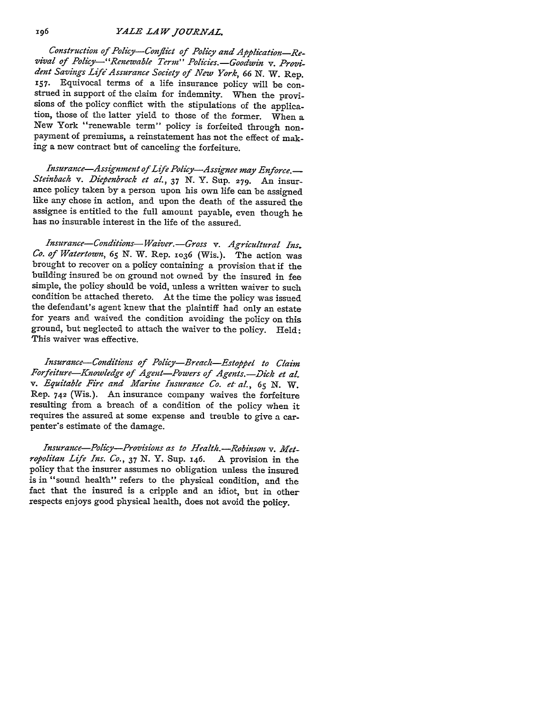*YALE LAW JOURNAL.*

*Construction of Policy-Conflict of Policy and Application-Revival of Policy-'"Renewable Term" Policies.-Goodwin v. Provident Savings Life'Assurance Society of New York, 66 N.* W. Rep. **157.** Equivocal terms of a life insurance policy will be construed in support of the claim for indemnity. When the provisions of the policy conflict with the stipulations of the application, those of the latter yield to those of the former. When a New York "renewable term" policy is forfeited through nonpayment of premiums, a reinstatement has not the effect of making a new contract but of canceling the forfeiture.

*Insurance-Assignment of Life Policy-Assignee may Enforce.- Steinbach v. Diepenbrock et al., 37* N. Y. Sup. **279.** An insurance policy taken by a person upon his own life can be assigned like any chose in action, and upon the death of the assured the assignee is entitled to the full amount payable, even though he has no insurable interest in the life of the assured.

*Insurance-Conditions-Waiver.-Gross v. Agricultural Ins. Co. of Watertown,* **65** N. W. Rep. **1036** (Wis.). The action was brought to recover on a policy containing a provision that if the building insured be on ground not owned by the insured in fee simple, the policy should be void, unless a written waiver to such condition be attached thereto. At the time the policy was issued the defendant's agent knew that the plaintiff had only an estate for years and waived the condition avoiding the policy on this ground, but neglected to attach the waiver to the policy. Held: This waiver was effective.

*Insurance-Conditions of Policy-Breach-Estoppel to Claim Forfeiture-Knowledge of Agent-Powers of Agents.-Dick et al. v. Equitable Fire and Marine Insurance Co. et al., 65* N. W. Rep. **742** (Wis.). An insurance company waives the forfeiture resulting from a breach of a condition of the policy when it requires the assured at some expense and trouble to give a carpenter's estimate of the damage.

*Insurance-Policy-Provisions as to Health. -Robinson v. Metropolitan Life Ins. Co., 37* **N.** Y. Sup. 146. A provision in the policy that the insurer assumes no obligation unless the insured is in "sound health" refers to the physical condition, and the fact that the insured is a cripple and an idiot, but in other respects enjoys good physical health, does not avoid the policy.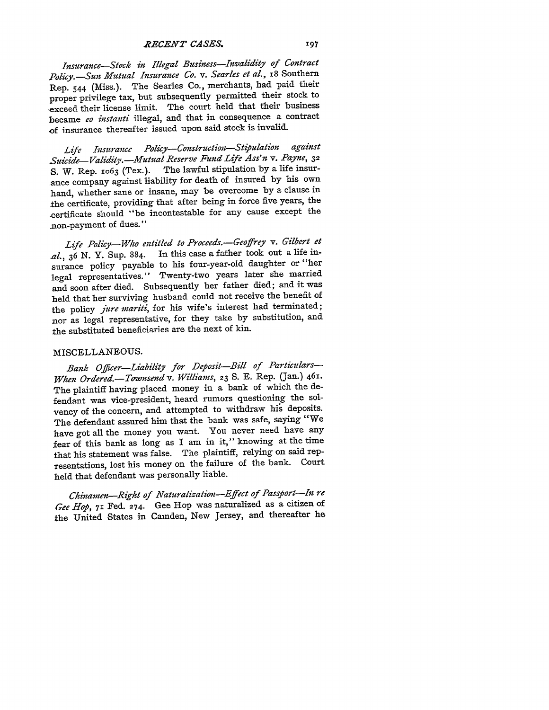*RECENT CASES.*

*Insurance-Stock in Illegal Business-Invalidity of Contract Policy.-Sun Mutual Insurance Co. v. Searles et al.,* **i8** Southern Rep. 544 (Miss.). The Searles Co., merchants, had paid their proper privilege tax, but subsequently permitted their stock to exceed their license limit. The court held that their business became *eo instanti* illegal, and that in consequence a contract .of insurance thereafter issued upon said stock is invalid.

*Life Insurance Policy-Construction-Stioulation against Suicide-Validity. -IMutual Reserve Fund Life Ass'n v. Payne,* **<sup>32</sup>** S. W. Rep. 1o63 (Tex.). The lawful stipulation by a life insurance company against liability for death of insured **by** his own hand, whether sane or insane, may be overcome by a clause in the certificate, providing that after being in force five years, the -certificate should "be incontestable for any cause except the non-payment of dues."

*Life Policy-Who entitled to Proceeds.-Geoffrey v. Gilbert et al.,* 36 **N.** Y. Sup. 884. In this case a father took out a life insurance policy payable to his four-year-old daughter or "her legal representatives." Twenty-two years later she married and soon after died. Subsequently her father died; and it was held that her surviving husband could not receive the benefit of the policy *jure mariti,* for his wife's interest had terminated; nor as legal representative, for they take **by** substitution, and the substituted beneficiaries are the next of kin.

## MISCELLANEOUS.

*Bank Officer-Liability for Deposit-Bill of Particulars-When Ordered.-Townsend v. Williams,* **23** S. **E.** Rep. (Jan.) **461.** The plaintiff having placed money in a bank of which the defendant was vice-president, heard rumors questioning the solvency of the concern, and attempted to withdraw his deposits. The defendant assured him that the bank was safe, saying "We have got all the money you want. You never need have any fear of this bank as long as I am in it," knowing at the time that his statement was false. The plaintiff, relying on said representations, lost his money on the failure of the bank. Court held that defendant was personally liable.

*Chinamen-Right of Naturalization-Effect of Passport-In re Gee Hop,* 71 Fed. 274. Gee Hop was naturalized as a citizen of the United States in Camden, New Jersey, and thereafter he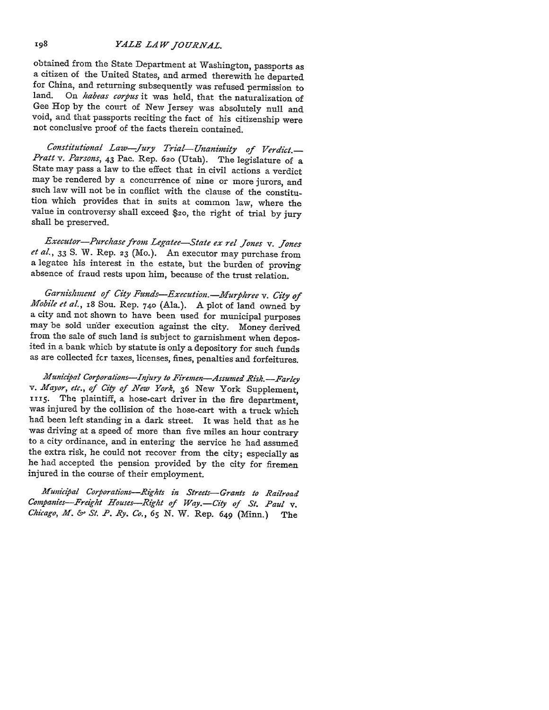### *YALE LAW JO URVAL.*

obtained from the State Department at Washington, passports as for China, and returning subsequently was refused permission to<br>land. On *habeas corpus* it was held that the naturalization of On *habeas corpus* it was held, that the naturalization of Gee Hop by the court of New Jersey was absolutely null and void, and that passports reciting the fact of his citizenship were not conclusive proof of the facts therein contained.

*Constitutional Law-Jury Trial- Unanimity of Verdict.- Pratt v. Parsons,* 43 Pac. Rep. **620** (Utah). The legislature of a State may pass a law to the effect that in civil actions a verdict may be rendered by a concurrence of nine or more jurors, and such law will not be in conflict with the clause of the constitution which provides that in suits at common law, where the value in controversy shall exceed \$20, the right of trial by jury shall be preserved.

*Executor-Purchase from Legatee-State ex rel Jones v. Jones et al.,* 33 *S.* W. Rep. **23** (Mo.). An executor may purchase from a legatee his interest in the estate, but the burden of proving absence of fraud rests upon him, because of the trust relation.

*Garnishment of City Funds-Execution.-Murplhree v. City of Mobile et al.,* 18 Sou. Rep. **740** (Ala.). A plot of land owned by a city and not shown to have been used for municipal purposes may be sold under execution against the city. Money derived from the sale of such land is subject to garnishment when deposited in a bank which by statute is only a depository for such funds as are collected fcr taxes, licenses, fines, penalties and forfeitures.

*Municipal Corporations--Injury to Firemen-Assumed Risk.--Farley v. fayor, etc., of City of New York,* 36 New York Supplement, **xx <sup>5</sup> .** The plaintiff, a hose-cart driver in the fire department, was injured by the collision of the hose-cart with a truck which had been left standing in a dark street. It was held that as he was driving at a speed of more than five miles an hour contrary to a city ordinance, and in entering the service he had assumed the extra risk, he could not recover from the city; especially as he had accepted the pension provided by the city for firemen injured in the course of their employment.

*Municipal Corporations-Rights in Streets-Grants to Railroad* Companies-Freight Houses-Right of Way.-City of St. Paul v. *Chicago, M. &- St. P. Ry. Co., 65* N. W. Rep. 649 (Minn.) The